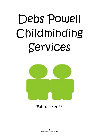# Debs Powell Childminding Services



February 2022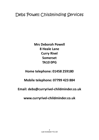# Debs Powell Childminding Services

**Mrs Deborah Powell 8 Heale Lane Curry Rivel Somerset TA10 0PG**

**Home telephone: 01458 259180**

**Mobile telephone: 07799 423 884**

**Email: debs@curryrivel‐childminder.co.uk**

**www.curryrivel‐childminder.co.uk**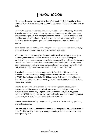# **Introduction**

My name is Debs and I am married to Ben. We are both Christians and have three children (plus a dog and numerous pet hens). I have been Childminding since January 2012.

I work with Amanda or Georgina who are registered as my Childminding Assistants. Amanda, married with two children, is a warm and caring person who has a wealth of experience especially with young children and babies. She also works in a local preschool and primary school. Georgina, also married with a young child, is gentle and caring and building her experience by working with a range of children and babies.

My husband, Ben, works from home and joins us for occasional meal times, playing in the garden or for impromptu singing sessions with his guitar!

We seek to take full advantage of the opportunities to learn and grow in the great outdoors, whatever the weather. Children in our care can enjoy playing and gardening in our secure garden, we have hatched some chicks and looked after some caterpillars to become butterflies, have kept our own bottle‐fed lambs, we spend days in the nearby woods and fields, do loads of messy play, have trips to the local café, love spending time at our allotments and lots more fun stuff too.

Amanda, Georgina and I hold current Paediatric First Aid certificates and have attended the relevant Safeguarding (Child Protection) courses. I am a member of PACEY (Professional Association for Childcare and Early Years) and hold current Public Liability Insurance. I also attend regular conferences, courses and Early Years networking groups.

Prior to childminding, I worked for a charity managing a team of community development staff who ran a preschool, after school club, toddler groups and a number of other community projects. I was Chair of the Curry Rivel Playgroup committee (2011 ‐ 2013). I led a messy play and singing parent and toddler group at our church (2015‐2020) and have been a School Governor.

When I am not childminding, I enjoy spending time with family, cooking, gardening and walking the dog.

I am a trained Breastfeeding Mother Supporter and can provide help with a range of breastfeeding queries, including weaning, continuing to breastfeed when working and expressing milk.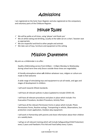# Admissions

I am registered on the Early Years Register and also registered on the compulsory and voluntary parts of the Childcare Register.

# House Rules

- $\checkmark$  We will be polite at all times, using 'please' and thank you'
- $\checkmark$  We sit whilst eating and drinking, usually at the table sat on a chair / booster seat as appropriate
- $\checkmark$  We are respectful and kind to other people and animals
- $\checkmark$  We take care of toys, furniture and equipment at the setting

# Mission Statement

My aim as a childminder is to offer:

.

Quality childminding service from 8.00am – 4.30pm Monday to Wednesday during school term time only (hours outside these times are negotiable).

A friendly atmosphere where **all** children whatever race, religion or culture are made to feel welcome

A wide range of stimulating toys and equipment to suit all needs, and ages and stages of development in children.

I will work towards Ofsted standards.

I will have all relevant policies in place (updated to include COVID‐19).

I will have all relevant procedures and plans in place which include: Fire Evacuation Procedure, Accident Procedure, Activity Plans

I will have all the relevant Permission Forms in place which include: Photo Permissions Forms, Routine outings, Transporting in vehicle, Observations, Sun protection cream application, Outdoor play equipment.

I will work in Partnership with parents and share information about their children on a weekly basis.

I will go on all relevant training which will include Safeguarding (Child Protection) every 2 years and Paediatric First Aid and Food Safety every 3 years.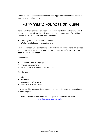I will evaluate all the children's activities and support children in their individual learning and development.

# Early Years Foundation Stage

As an Early Years childcare provider, I am required to follow and comply with the Statutory Framework for the Early Years Foundation Stage (EYFS) for children under 5 years old. This is split into 2 sections:

- Learning and Development requirements
- Welfare and Safeguarding requirements

Since September 2012, the Learning and Development requirements are divided into 7 interconnected areas of learning, with 3 being 'prime' areas. This has been revised in September 2021.

Prime Areas:

- Communications & language
- Physical development
- Personal, social & emotional development

Specific Areas:

- Literacy
- Mathematics
- Understanding the world
- Expressive arts and design

"Each area of learning and development must be implemented through planned, purposeful play"

For more information about the EYFS, please ask me or have a look at www.foundationyears.org.uk.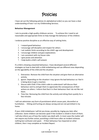# Policies

I have set out the following policies (in alphabetical order) so you can have a clear understanding of how I run my Childminding Services.

# **Behaviour Management**

I aim to provide a high quality childcare service. To achieve this I need to set reasonable and appropriate limits to help manage the behaviour of the children.

I endorse positive discipline as an effective way of setting limits.

- 1. I reward good behaviour
- 2. I encourage self‐discipline and respect for others
- 3. I set realistic limits according to the child's age and development
- 4. I encourage children and give explanations
- 5. I am consistent with my house rules
- 6. I give praise and attention
- 7. I help build a child's self‐esteem

If a child is showing unwanted behaviour, I have developed several different strategies on how to deal with a child misbehaving and use different ones depending on the age/ability of the child and the situation:

- 1. Distraction. Remove the child from the situation and give them an alternative activity.
- 2. Ignore. Depending on the situation I may ignore the bad behaviour as I feel it is being done to get a reaction.
- 3. Discuss with Child. If the child is able to understand I will discuss their behaviour and try and get them to appreciate the consequences of their actions on others. I inform that that it is their behaviour that I do not like not them.
- 4. Time Out. Removing the child from the activity and sitting them quietly for a few minutes

I will not administer any form of punishment which causes pain, discomfort or humiliation. Hitting and hurting are always wrong and are not permitted in my home.

If your child misbehaves I will let you know, possibly by ringing you later after collection. Some children can become upset if the incident is retold in front of them. I will also inform you of how the matter was dealt with. In most cases the matter will not require any further action, punishing a child hours after an incident achieves nothing but confusion and upset. If their behaviour has impacted on other children, then I may complete an Incident Report.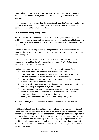I would also be happy to discuss with you any strategies you employ at home to deal with unwanted behaviour and, where appropriate, will try to follow the same approach.

If you have any concerns regarding the managing of your child's behaviour, please do not hesitate to contact me. It is important that we work together on managing behaviour so as not to confuse your child.

# **Child Protection (Safeguarding Children)**

My responsibility as a childminder is to ensure the safety and welfare of all the children in my care in line with the procedures laid out by the Somerset Safeguarding Children's Board (www.swcpp.org.uk) and conforming with statutory guidance from government.

I will have received training on Safeguarding Children (Child Protection) and be aware of the signs and symptoms of child abuse, physical, emotional and sexual, and those of neglect.

If your child's safety is considered to be at risk, I will not be able to keep information relating to your child confidential, but will need to share it with Ofsted, Social Services and the Police if requested.

I will take precautions to protect myself and family from allegations of abuse by:

- Ensuring all household members over 16 are CRB cleared
- 2 Ensuring all visitors to the house sign the visitors book and do not have unsupervised access to the children under any circumstances
- Ensuring, where possible, that no works are carried out on the house during minded hours by external contractors
- Document all accidents and incidents that occurs whilst in my care, informing parents and requesting them to sign my records
- Noting any marks on the children when they arrive and asking parents to inform me of any accidents that have occurred whilst outside my care
- Ensuring the children are supervised at all times
- 7 Keeping accurate records on each child and writing a daily diary
- Digital Media (mobile telephones, camera's and other digital information devises)

I will take photos of your child (subject to parental permission) during their time at the setting to allow me to build a portfolio of evidence of their achievements and to support me in planning future activities for them. These photographs will primarily be used in their individual records, but may on occasion be used in the setting. My mobile telephone does have the capability to take digital photographs and will be used to take photographs which may also be held on my password protected laptop. You may request to see the photographs held of your child on my mobile phone or laptop at any time.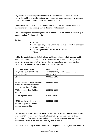Any visitors to the setting are asked not to use any equipment which is able to record the children in any format and parents and visitors are asked not to use their mobile telephones in rooms where the children are present.

I will not use any photographs of children's faces or other identifiable features or their names on social media (I have a childminding Facebook page).

Should an allegation be made against me or a member of my family, in order to gain support and professional advice I will:

Contact :

- **PACEY**
- Somerset Early Years, Childminding Development co-ordinator
- **Insurance Company**
- **PACEY Legal Advice Line or Family Solicitor**
- Ofsted

I will write a detailed record of all related incidents, including what was said and by whom, with times and dates. I will ask any witnesses (if there were any) to also write a statement detailing the incident they witnessed and giving their contact details in case it needs to be followed up by the authorities.

| Children's Social Care<br>Safeguarding Children Board<br>(Somerset Direct)                       | 0300 123 2224<br><b>Emergency Duty Team</b><br>0300 123 2327<br>(LADO) 01823 357823 |
|--------------------------------------------------------------------------------------------------|-------------------------------------------------------------------------------------|
| Ofsted                                                                                           | 0300 123 1231                                                                       |
| PACEY allegations and complaints<br>service for anyone concerned<br>about the welfare of a child | 0845 880 0044                                                                       |
| <b>PACEY Safeguarding Children</b><br>Service                                                    | 0845 880 0044                                                                       |
| PACEY regional office                                                                            | 01454 270530                                                                        |
| NSPCC child protection helpline -<br>24-hour helpline for people<br>worried about a child        | 0808 800 5000                                                                       |

I am aware that I must have **due regard to the need to prevent people being drawn into terrorism**. This is referred to in the Prevent Duty. I am also aware of the signs and indicators of extremism or radicalisation. If I had any concerns I would contact the Prevent Officer in my local area and my LSCB as above.

I am aware of the Department for Education telephone helpline (020 7340 7264) to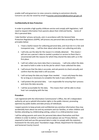enable staff and governors to raise concerns relating to extremism directly. Concerns can also be raised by email tocounter.extremism@education.gsi.gov.uk

# **Confidentiality & Data Protection**

In order to provide a high quality childcare service and comply with legislation, I will need to request information from parents about their child and family. Some of this is personal data.

I take families' privacy seriously, and, in accordance with the General Date Protection Regulations (GDPR), will process any personal data according to the seven principles below:

- 1. I have a lawful reason for collecting personal data, and must do it in a fair and transparent way. I will be clear about what data I am collecting and why.
- 2. I will only use the data for the reason it is initially obtained. This means I will not use a person's data to market a product or service to them that is unconnected with the reasons for which they shared the data with us in the first place.
- 3. I will not collect any more data than is necessary. I will only collect the data we need to hold in order to do the job for which I have collected the data.
- 4. I will ensure that the data is accurate, and ask parents to check annually and confirm that the data held is still accurate.
- 5. I will not keep the data any longer than needed. I must only keep the data for as long as is necessary to complete the tasks it was collected for.
- 6. I will protect the personal data. I am responsible for ensuring that I process and store the data securely.
- 7. I will be accountable for the data. This means that I will be able to show how I am complying with the law.

# **Procedure**

I am registered with the Information Commissioner's Office, the UK's independent authority set up to uphold information rights in the public interest, promoting openness by public bodies and date privacy of individuals.

I expect parents to keep private and confidential any sensitive information they may accidentally learn about me and my assistants and our families, or other children and families attending my childminding setting, unless it is a child protection issue.

I will be asking parents and carers for personal data about themselves and their children in order to deliver a childcare service (please see our Privacy Notice). I am required to hold and use this personal data in order to comply with the statutory framework for the early years' foundation stage, Ofsted, Department for Education and Somerset County Council.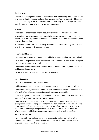# **Subject Access**

Parents have the right to inspect records about their child at any time. This will be provided without delay and no later than one month after the request, which should be made in writing to me as Data Controller. I will ask parents to regularly check that the data is correct and update it where necessary.

#### **Storage**

I will keep all paper‐based records about children and their families securely.

When I keep records relating to individual children on a computer, including digital photos, I will obtain parents' permission. I will store the information securely with password protection.

Backup files will be stored on a backup drive locked in a secure safety box. Firewall and virus protection software are in place.

#### **Information Sharing**

I am expected to share information if a child also attends another setting or school.

I may also be required to share information with Somerset County Council in regards to childcare and early years entitlements.

I will not share information with anyone without parents' consent, unless there is a child protection concern.

Ofsted may require to access our records at any time.

# **Record Keeping**

I record all accidents in an accident book.

I will notify our insurers of any accident which may result in an insurance claim.

I will inform Ofsted, Somerset County Council, and the Health and Safety Executive of any significant injuries, accidents or deaths as soon as possible.

I record all significant incidents in an incident book and I share these with parents to that together we can work to resolve any issues.

I will only share information if it is in the child's best interests to do so. For example in a medical emergency I will share medical information with a healthcare professional. If I am concerned about a child's welfare I have a duty of care to follow the Local Safeguarding Children Board procedures and make a referral. Where possible I will discuss concerns with parents before making a referral.

#### **Safe Disposal of Data**

I am required by law to keep some data for some time after a child has left my childminding setting. I have a review plan in place to ensure that any data is disposed of appropriately and securely.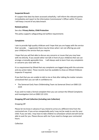# **Suspected Breach**

If I suspect that data has been accessed unlawfully, I will inform the relevant parties immediately and report to the Information Commissioner's Officer within 72 hours. I will keep a record of any data breach.

### **Related policies**

#### See also: **Privacy Notice, Child Protection**

This policy supports safeguarding and welfare requirements

#### **Complaints**

I aim to provide high quality childcare and I hope that you are happy with the service that I provide. I appreciate there may be times when I am not offering you and your child(ren) the service that you require.

I hope that you will feel able to discuss any concerns or issues that you may have with me directly. If you would rather not talk in front of your child(ren) then we can arrange a mutually agreeable time. I will always seek to learn from any complaints or concerns you raise with me.

It is a requirement by Ofsted that any complaints are logged along with the outcome and any action taken. These records must be available to show an Ofsted Childcare Inspector if required.

If you feel that you are unable to talk to me or that after talking the matter remains unresolved then you can talk in confidence to:

 The Somerset Early Years Childminding Team via Somerset Direct on 0300 123 2224

If you wish to make a formal complaint then you can contact the Ofsted Complaints and Investigation Unit on 0300 123 1231.

#### **Dropping Off and Collection (including Late Collection)**

# Dropping Off

Please let me know in advance if you intend to arrive at a different time from the contracted one. If you arrive unexpectedly early I may not be ready to care for your child. If you are late, I may have to take children to school/pre‐school and will not be able to wait for you. Please discuss with me if you need to change your contracted hours.

Collection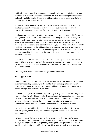I will only release your child from my care to adults who have permission to collect him/her. I will therefore need you to provide me with a list of people authorised to collect. It would be helpful, if they are not known to me, to include a description or a photograph for me to keep on file.

In the event of an emergency, we can operate a password system where you can send someone not authorised to collect your child but who is able to give the password. Please discuss with me if you would like to use this system.

It is important that you arrive at the contracted time to collect your child. Even very young children learn our routine and know when their parents are due. They can become distressed if you are late. I know sometimes delays are unavoidable, especially if you are relying on public transport. If you are delayed, for whatever reason please contact me and let me know when you expect to arrive. I will normally be able to accommodate the additional care, however if I am unable, I will contact other adults from the authorised list and arrange for them to collect your child. I will reassure your child that you are on the way and if necessary organise additional activities and a meal.

If I have not heard from you and you are very late I will try and make contact with you. I will also attempt to contact the emergency numbers provided. If I am unable to make contact with anyone I will inform Somerset Direct on 0300 123 2224 and follow their advice.

Ordinarily I will make an additional charge for late collection.

#### **Equal Opportunities**

I give all children in my care the opportunity to reach their full potential. Sometimes this means adapting an activity to the child's ability and stage of development, providing additional resources or giving one child more attention and support than others during a particular activity or routine.

All children in my care are given the opportunity to play with all the toys (subject to health and safety with children under 3 years of age). No toys are just for girls or just for boys. I try to ensure my toys reflect positive images of children and people from different cultures and with different abilities. I have toys and resources that challenge stereotypical ideas on what careers are open to men and women.

No child in my care will be discriminated against in any way, whether for their race, culture, gender, ability or religion. I will challenge any remarks that I feel are inappropriate.

I encourage the children in my care to learn more about their own culture and to find out about the culture and religions of other children. We do in this in a fun way through sharing books, colouring sheets, cooking and eating food from around the world and celebrating special festivals. I provide resources such as, dressing up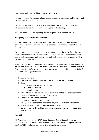clothes and multicultural skin tone crayons and pencils.

I encourage the children to develop a healthy respect of each other's differences and to value everyone as an individual.

I encourage Parents to share with us any festivals, special occasions or artefacts, which may enhance the children's learning and understanding.

If you have any concerns regarding this policy please discuss them with me.

# **Emergency Plan & Evacuation Procedure**

In order to keep the children and myself safe I have developed the following procedure to evacuate my home in the event of an emergency (as a result of a fire, flooding, etc.).

Escape routes can be found to the back, front and side of the house from the ground floor. Smoke detectors are located throughout the house. From the first floor, access is via the annexe roof, but I would seek assistance prior to attempting this in exceptional circumstances.

We will talk to the children about the evacuation procedure with me so they will not be alarmed in the event of the situation being real. We have decided not to carry out further practices as far as the children are aware after some children had periods of fear about fires (nightmares etc).

- 1 Sound the alarm
- 2 Evacuate the children using the safest and nearest exit available
- 3 Take:
	- o Attendance Record for the day
	- o Contact numbers
	- o Mobile phone
- Assemble on the pavement outside the house (at the end of the garden by the shed if leaving via the rear of the house)
- 5 Contact the emergency services
- Comfort and reassure the children
- Arrange safe place for the children to stay until parents can collect them
- Follow the instructions of the Emergency Services
- Do not return to the building until the Emergency Services have declared it safe to do so

# **First Aid**

My Assistants and I hold an OFSTED and Somerset County Council approved Paediatric First Aid Course certificate which is valid for 3 years. I regularly check the First Aid kit and ensure all contents are in valid use by date.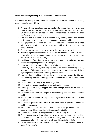# **Health and Safety (including in the event of a serious incident)**

The Health and Safety of your child is very important to me and I have the following steps in place to support this:

- All toys will be checked and cleaned regularly to ensure they are safe for your child to use. Any broken or hazardous toys will be removed immediately. Children will only be offered toys and resources that are suitable for their age/stage of development
- 2 I do a quick risk assessment of my home every morning before the children arrive to ensure that it is a safe environment for minded children
- All equipment will be checked and cleaned regularly. All equipment is fitted with the correct safety harnesses to prevent accidents, for example highchair and pushchairs.
- Car seats are checked regularly to ensure they are correctly fitted.
- My car is regularly serviced and MOT. My car insurance is for 'Business Use'.
- $6$  I use safety equipment appropriate for the children in my care, ie stair gates etc. These are checked regularly.
- I will keep my front door locked with the keys on a hook up high to prevent the children opening the door to strangers.
- 8 I have procedures in place in the event of a fire (see separate policy)
- 9 I keep my kitchen clean, following hygiene guidelines on the storing of food, keeping the fridge at the correct temperature etc. I have been awarded the highest grade 5 by the local authority for food safety.
- $10$  I ensure that the children do not have access to any waste, the bins are emptied daily and any used nappies are wrapped and placed in the outdoor rubbish bin.
- 11 I do not permit smoking in my home or garden.
- 12 I follow strict hygiene guidelines to prevent contamination.
- 13 I wear gloves to change nappies and wipe change mats with antibacterial spray after use.
- 14 Children's soiled items will be put in a suitable bag and sent home with the child.
- 15 Surfaces and hard floors are kept cleaned regularly with antibacterial cleaner or bleach.
- 16 All cleaning products are stored in the utility room cupboard to which no children have access.
- 17 Tissues and wipes are available at all times and hand gel will be used when out and about if hand washing facilities are not available.
- 18 I have strict Child Protection guidelines in place (see separate policy)
- 19 Children must stay with me when we are away from the home strapped in a pushchair, on a harness or wrist strap, or holding onto my hand/pushchair as age appropriate. Children walking will wear high visibility jackets.
- $20$  I have emergency contact details with me at all times should I need to contact the parents.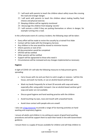- 21 I will work with parents to teach the children about safety issues like crossing the road and stranger danger.
- $22$  I will work with parents to teach the children about making healthy food choices and physical exercise.
- 23 Sleeping children will be regularly monitored
- 24 I discourage the children from keeping 'secrets'
- 25 I will restrain a child if they are putting themselves or others in danger, for example running into a road.

In the unfortunate event of a serious incident, the following steps will be taken:

- Every effort will be made to revive the casualty by a trained First Aider
- Contact will be made with the Emergency Services
- Any children in the area would be moved to minimise trauma
- Inform parents or next of kin
- All documentation would be completed
- OFSTED will be notified
- Other parents will be notified
- Support will be signposted to those who need it
- Circumstances will be reviewed and any changes implemented as necessary

#### **Hygiene**

In light of COVID-19 I will take the following measures to help prevent germs spreading:

- Carry tissues with me and use them to catch coughs or sneezes. I will bin the tissue, and wash my hands, or use an alcohol‐based sanitiser gel.
- Wash my hands frequently for at least 20 seconds with soap and water, especially after using public transport. Use an alcohol‐based sanitiser gel if soap and water are not available.
- Discuss good hygiene and hand washing practice with the children
- Avoid touching my eyes, nose and mouth with unwashed hands.
- Avoid close contact with people who are unwell.

I also use e-bug resources to provide a range of fun learning activities on hand washing and respiratory hygiene.

I ensure all adults and children in my setting are aware of good hand‐washing procedures and will be support them to wash their hands in line with Government guidance.

I ensure there is a supply of tissues available for children and will help children to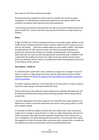learn how to catch their sneezes and coughs.

Personal protective equipment will be used for intimate care needs e.g nappy changing or if a child becomes unwell with symptoms of coronavirus while in the setting (in accordance with relevant Government guidance).

I ensure that any animals on the premises are safe to be around children and do not pose a health risk. I ensure that litter trays and pet food dishes are kept away from children.

#### **Illness**

In light of COVID‐19, I will be asking parents/carers to provide regular updates on the health of their family/household in order to protect others that are using my service and my own family. I will share updates about my own family's health. I will expect all parents/carers to take necessary steps and follow Government guidance to prevent the spread of the disease, for example complying with current guidance about who you can meet up with and appropriate social distancing. In addition I will comply with this guidance to ensure the safety of my own family and those that access my childcare service. Failure to comply with Government guidance may result in termination of the contract.

# **Sick Children ‐ COVID‐19**

If a child becomes unwell with a new, continuous cough, loss or change in sense of taster or smell, or a high temperature they must be collected and parents will be advised to follow the COVID‐19: guidance for households with possible coronavirus infection guidance.

If a child is awaiting collection, I will move them to an area which is at least 2 metres away from other people and fully ventilate the room.

If they need to go to the bathroom while waiting to be collected, the bathroom will be cleaned and disinfected using standard cleaning products before being used by anyone else.

I will wear appropriate PPE when caring for the child while they await collection if a distance of 2 metres cannot be maintained (such as for a very young child or a child with complex needs).

If a member of staff has helped someone who was unwell with a new, continuous cough, loss or change in sense of taster or smell, or a high temperature, they do not need to go home unless they develop symptoms themselves (and in which case, a test is available) or the child subsequently tests positive. They will wash their hands thoroughly for at least 20 seconds after any contact with someone who is unwell and the affected area will be cleaned with normal household disinfectant.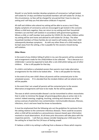Should I or any family member develop symptoms of coronavirus I will get tested, self-isolate for 14 days and fellow household members will self-isolate for 14 days. In this circumstance, no fees will be charged for any period that I have to close my setting and I will help you find alternative childcare if required.

All staff and children who attend my setting will be able to access a test if they display symptoms of coronavirus and are encouraged to get tested in this scenario. Where a child tests negative, they can return to my setting and their household members can end their self‐isolation in accordance with government guidance. Where a child, or staff member tests positive for COVID‐19, the other children within my setting will be sent home and advised to self‐isolate for 14 days. The other household members of these families do not need to self‐isolate unless their child subsequently develops symptoms. As with any other illness of a child needing to be kept away from the setting, a fee is payable for the sessions missed during self‐isolation.

# **Other illness**

In the event of any children falling ill whilst in my care the parents will be contacted and arrangements made for the child/children to be collected. This is because as a childminder I cannot be expected to look after a sick child whilst taking care of other children. A fee is still payable for that day.

If a child is sick before a scheduled session then parents must make alternative arrangements for the child to be looked after. A fee is still payable for that day.

In the event of my own child's illness all parents will be contacted prior to the scheduled session. If it is decided that the minded children will not attend no fee will be payable.

In the event that I am unwell all parents will be contacted prior to the session. Alternative arrangements will have to be made. No fee will be payable.

The ease at which communicable disease's can be transmitted to others necessitates that in order to minimise the danger all parents/guardians play an active role in its control. Indeed sneezing, coughing, touching, vomiting and closeness can all be serious avenues of potential cross contamination. Communicable diseases, illnesses, infections, virus's and even head lice know no boundaries.

It must be emphasized that the following sets out the guidelines for exclusion from the setting relative to the commoner infectious diseases. There could be occasions when a child will be excluded as a precautionary measure based upon information received or visual observations. At all times prior discussions will take place with the respective parents. I ask that you always consider keeping your child away from the setting for at least the first 24 hours of feeling unwell.

If I believe a child in my setting is suffering from a disease or illness which requires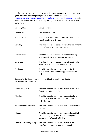notification I will inform the parents/guardians of my concerns and act on advice given by Public Health England (details of which can be found at https://www.gov.uk/government/organisations/public-health-england http:///as to when they will be able to return to my setting. I will also inform Ofsted of any action taken.

| Disease/Illness                                              | <b>Exclusion Period</b>                                                                                                                         |
|--------------------------------------------------------------|-------------------------------------------------------------------------------------------------------------------------------------------------|
| Antibiotics                                                  | First 2 days at home                                                                                                                            |
| Temperature                                                  | If the child is sent home ill, they must be kept away<br>from the setting for 24 hours                                                          |
| Vomiting                                                     | The child should be kept away from the setting for 48<br>hours after the vomiting has stopped                                                   |
| Conjunctivitis                                               | The child should be kept away from the setting<br>until the redness and discharge have gone                                                     |
| Diarrhoea                                                    | The child should be kept away from the setting for<br>48 hours after the diarrhoea has stopped                                                  |
| Chickenpox                                                   | The child must be absent from the setting for a<br>minimum of 7 days from the appearance of the<br>rash                                         |
| Gastroenteritis /food poisoning<br>salmonellosis & dysentery | Until authorised by your Doctor                                                                                                                 |
| Infective hepatitis                                          | The child must be absent for a minimum of 7 days<br>from the onset of jaundice                                                                  |
| <b>Measles</b>                                               | The child must be absent from the setting for a<br>minimum of 5-7 days from the onset of the<br>rash (Notifiable)                               |
| Meningococcal infection                                      | The child must be absent until fully recovered from<br>the illness                                                                              |
| <b>Mumps</b>                                                 | The child must be absent from the setting until all<br>swelling has gone $-$ there is a minimum period of<br>exclusion for 10 days (Notifiable) |
| Pertussis (whooping cough)                                   | The child must be absent for a minimum of 21<br>days from the onset of paroxysmal cough                                                         |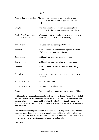### (Notifiable)

| Rubella (German measles)                          | The child must be absent from the setting for a<br>minimum of 4 days from the appearance of the<br>rash |
|---------------------------------------------------|---------------------------------------------------------------------------------------------------------|
| Shingles                                          | The child must be absent from the setting for a<br>minimum of 7 days from the appearance of the rash    |
| Scarlet fever& streptoccal<br>Infection of throat | With appropriate medical treatment, minimum of 3<br>day from start of treatment (Notifiable)            |
| Threadworm                                        | Excluded from the setting until treated                                                                 |
| Tonsillitis                                       | Must be kept away from the setting for a minimum<br>of 48 hours after starting antibiotics              |
| Tuberculosis                                      | Until declared free from infection by your<br>doctor                                                    |
| Typhoid fever                                     | Until declared free from infection by your doctor                                                       |
| Impetigo                                          | Must be kept away until the skin has completely<br>healed                                               |
| Pediculosis                                       | Must be kept away until the appropriate treatment<br>has been given                                     |
| Ringworm of scalp                                 | <b>Excluded until cured</b>                                                                             |
| Ringworm of body                                  | Exclusion not usually required                                                                          |
| <b>Scabies</b>                                    | Excluded until treatment is complete, usually 24 hours                                                  |

I will adopt a professional approach to each incident of illness. As such the period of exclusion will be greatly influenced by the availability of resources, knowledge and the overall care for the other children's health within this setting. However it is important to remember that when a child is ill, they tend to want their parents love and attention.

I am aware that the implementation of the above policy may cause some problems to parents/guardians employment; as such I am committed to assisting whenever and wherever possible to overcome such concerns. It should be noted however that my prime responsibility is to protect all the children I care for.

#### **Lost Child**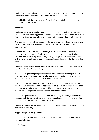I will safely supervise children at all times, especially when we go on outings or trips. I will teach the children about safety when we are out and about.

If a child did go missing, I will do a brief search of the area before contacting the police, parents and Ofsted.

# **Medicines**

I will not usually give your child non‐prescribed medication, such as cough mixture, Calpol or nurofen, teething gel etc, and only if you have signed a parental permission form for me to do so. A new form will be completed for each time this is required.

This permission form will be regularly reviewed to ensure that there are no changes, for example a child may no longer be able to take some medication or may need an additional form.

Even though you may have signed a form, I will still contact you to check that I can administer this medication. This is to protect your child, you and myself. It is vital that you inform me of any medication you may have given your child before they arrive into my care. I need to know what medicine they have had, the dose and time given.

I will ensure that all medication given to me will be stored correctly and I will check that it is still within its expiry date,

If your child requires regular prescribed medication or has acute allergies, please discuss with me as I may not currently be able to accommodate them or may require you to attend to your child when such medication is needed.

If your child needs to take medication prescribed by a doctor, please discuss this with me. I will need you to sign an additional permission form. In some cases a child on antibiotics may be asked not to attend for 2‐3 days in case they react to the medication and to prevent the spread of an infection to others.

All medicine given to me to administer must be in its original bottle/container and not decanted. It must have the manufacturers guidelines on it and if a prescription medication the details from the Doctor/pharmacy.

I will record all medication administered in my book and request a parental signature at the end of each day.

# **Nappy Changing & Potty Training**

I am happy to accept babies and children in nappies. I will need you to provide me with the following:

1. Nappies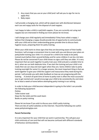- 2. Any cream that you use on your child (and I will ask you to sign for me to apply this)
- 3. Baby wipes

I will provide a changing mat, which will be wiped over with disinfectant between each use and nappy sacks for the disposal of used nappies.

I am happy to take a child in real/cloth nappies. If you are currently not using real nappies but are interested in finding out more please let me know.

I will change your child regularly and immediately if they have soiled a nappy. I believe that changing a nappy should provide lots of opportunity to communicate with your child and as their understanding grows provide time to discuss basic hygiene issues, preparing them for potty training.

When your child starts to show signs that they are becoming aware of their bodily functions I will arrange a convenient time to meet with you and discuss your plans on potty/toilet training your child. It is unusual for a child to be ready to be potty trained much before their second birthday and for some children it can be a lot later. Please do not be concerned if your child shows no signs until they are older. It is very important that we work together to potty train your child and pick a suitable time to do it, when we can both dedicate time. If we start the training and your child is not ready then we can stop and start again when they are. Some children take to potty training overnight for some it is a longer process, the most important thing is that we work together to give your child the support and reassurance they need during this period. I will provide you with daily feedback on how we are progressing with the training. A stretch of quiet time at home to potty train is often the most successful way to get started and I would encourage your child to be consistently dry and clean for at least a week at home before attempting potty training in our setting.

In order to help your child become independent in going to the toilet I can provide the following equipment: Potties Toilet trainer seat Steps for the toilet and the wash basin Books on potty training

Please let me know if you wish to discuss your child's potty training. There are lots of useful websites on the Internet. I found the following one useful: www.pottytrainingtips.com

# **Parent Partnership**

It is very important for your child that we work in partnership. This will give your child continuity of care and thet will not become confused with different standards of behaviour and boundaries.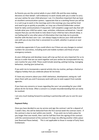As Parents you are the central adults in your child's life and the ones making decisions on their behalf. I will endeavour to work closely with you in order to carry out your wishes for your child wherever I can. It is therefore important that we have an excellent communication system. I appreciate that as a working Parent you will be in a rush to go to work in the mornings and in the evenings you may well be tired and need to go as quickly as possible, so I may use a Parent/Childminder contact book for daily communications if requested. I will complete a page each day that will include what your child has eaten, naps, activities, milestones achieved etc. I would request that you use this book to note down if your child has had a disturb sleep, is not feeling well or any other piece of information that may help me to provide him/her with the best care I can. I am always happy to discuss your child and their care with you at any time that is convenient to us both, whether in person or over the phone.

I would also appreciate it if you could inform me if there are any changes to contact numbers for yourselves, including work and mobile numbers and those of your emergency contacts.

As your child grows and develops issues will crop up that are very important for us to discuss in order that we can work together and your wishes be incorporated into my care routine for your child. These could include weaning, potting training, managing behaviour, starting (pre‐)school etc.

If you wish me to incorporate a special activity into my routine, perhaps a festival or religious holiday that you celebrate please let me know.

If I have any concerns about your child's behaviour, development, eating etc I will share them with you and if necessary work with you to seek support from outside agencies.

If you have any concerns or issues regarding the care I am providing for your child please do let me know. Often a concern is a simple misunderstanding that can easily be resolved.

I am very much looking forward to working in partnership with you to care for your child.

# **Payment Policy**

Once you have decided to use my service and sign the contract I ask for a deposit of 1 week's fees, this will be deducted from the first normal week the contract starts ‐ if the contract is due to start within one month. If you wish me to hold a place for you longer than one month, then I ask for half fees from the signing of the contract until the commencement of the contract if it stops me offering another child a place (see Reserved Places below). This is not applicable to those in receipt of Early Years Entitlement.